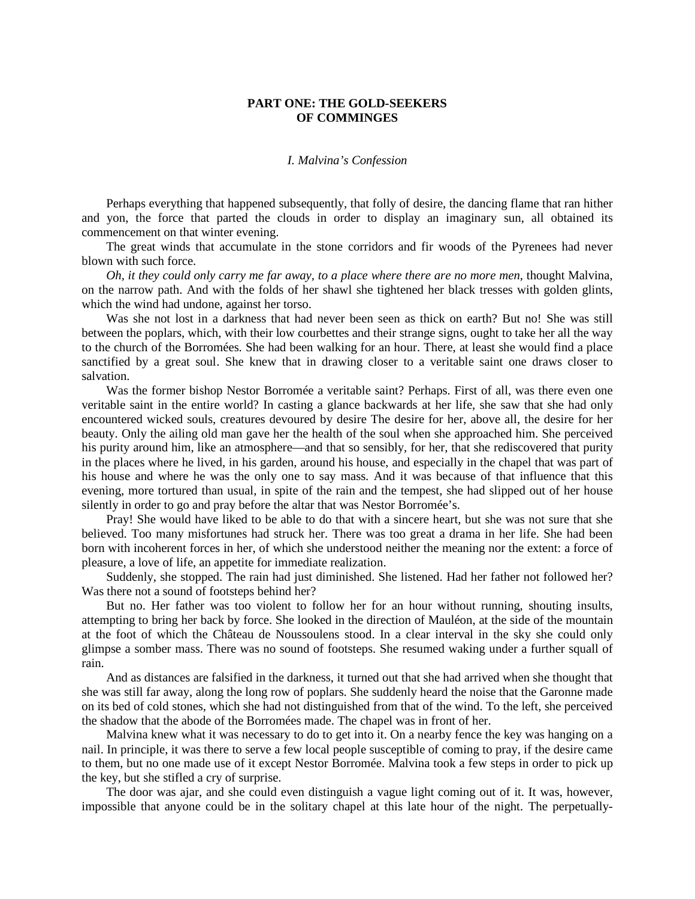## **PART ONE: THE GOLD-SEEKERS OF COMMINGES**

## *I. Malvina's Confession*

Perhaps everything that happened subsequently, that folly of desire, the dancing flame that ran hither and yon, the force that parted the clouds in order to display an imaginary sun, all obtained its commencement on that winter evening.

The great winds that accumulate in the stone corridors and fir woods of the Pyrenees had never blown with such force.

*Oh, it they could only carry me far away, to a place where there are no more men*, thought Malvina, on the narrow path. And with the folds of her shawl she tightened her black tresses with golden glints, which the wind had undone, against her torso.

Was she not lost in a darkness that had never been seen as thick on earth? But no! She was still between the poplars, which, with their low courbettes and their strange signs, ought to take her all the way to the church of the Borromées. She had been walking for an hour. There, at least she would find a place sanctified by a great soul. She knew that in drawing closer to a veritable saint one draws closer to salvation.

Was the former bishop Nestor Borromée a veritable saint? Perhaps. First of all, was there even one veritable saint in the entire world? In casting a glance backwards at her life, she saw that she had only encountered wicked souls, creatures devoured by desire The desire for her, above all, the desire for her beauty. Only the ailing old man gave her the health of the soul when she approached him. She perceived his purity around him, like an atmosphere—and that so sensibly, for her, that she rediscovered that purity in the places where he lived, in his garden, around his house, and especially in the chapel that was part of his house and where he was the only one to say mass. And it was because of that influence that this evening, more tortured than usual, in spite of the rain and the tempest, she had slipped out of her house silently in order to go and pray before the altar that was Nestor Borromée's.

Pray! She would have liked to be able to do that with a sincere heart, but she was not sure that she believed. Too many misfortunes had struck her. There was too great a drama in her life. She had been born with incoherent forces in her, of which she understood neither the meaning nor the extent: a force of pleasure, a love of life, an appetite for immediate realization.

Suddenly, she stopped. The rain had just diminished. She listened. Had her father not followed her? Was there not a sound of footsteps behind her?

But no. Her father was too violent to follow her for an hour without running, shouting insults, attempting to bring her back by force. She looked in the direction of Mauléon, at the side of the mountain at the foot of which the Château de Noussoulens stood. In a clear interval in the sky she could only glimpse a somber mass. There was no sound of footsteps. She resumed waking under a further squall of rain.

And as distances are falsified in the darkness, it turned out that she had arrived when she thought that she was still far away, along the long row of poplars. She suddenly heard the noise that the Garonne made on its bed of cold stones, which she had not distinguished from that of the wind. To the left, she perceived the shadow that the abode of the Borromées made. The chapel was in front of her.

Malvina knew what it was necessary to do to get into it. On a nearby fence the key was hanging on a nail. In principle, it was there to serve a few local people susceptible of coming to pray, if the desire came to them, but no one made use of it except Nestor Borromée. Malvina took a few steps in order to pick up the key, but she stifled a cry of surprise.

The door was ajar, and she could even distinguish a vague light coming out of it. It was, however, impossible that anyone could be in the solitary chapel at this late hour of the night. The perpetually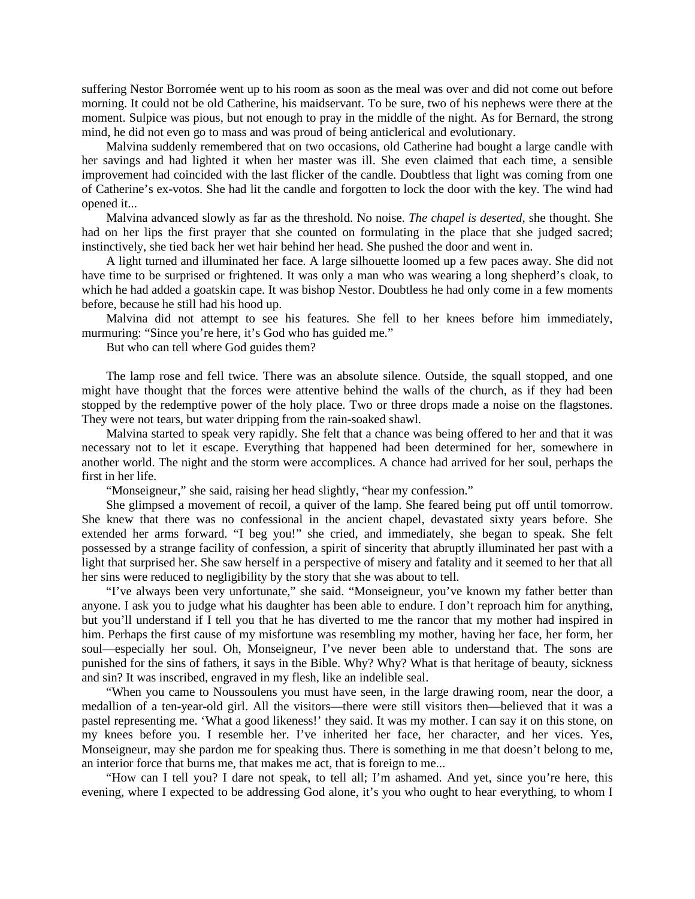suffering Nestor Borromée went up to his room as soon as the meal was over and did not come out before morning. It could not be old Catherine, his maidservant. To be sure, two of his nephews were there at the moment. Sulpice was pious, but not enough to pray in the middle of the night. As for Bernard, the strong mind, he did not even go to mass and was proud of being anticlerical and evolutionary.

Malvina suddenly remembered that on two occasions, old Catherine had bought a large candle with her savings and had lighted it when her master was ill. She even claimed that each time, a sensible improvement had coincided with the last flicker of the candle. Doubtless that light was coming from one of Catherine's ex-votos. She had lit the candle and forgotten to lock the door with the key. The wind had opened it...

Malvina advanced slowly as far as the threshold. No noise. *The chapel is deserted*, she thought. She had on her lips the first prayer that she counted on formulating in the place that she judged sacred; instinctively, she tied back her wet hair behind her head. She pushed the door and went in.

A light turned and illuminated her face. A large silhouette loomed up a few paces away. She did not have time to be surprised or frightened. It was only a man who was wearing a long shepherd's cloak, to which he had added a goatskin cape. It was bishop Nestor. Doubtless he had only come in a few moments before, because he still had his hood up.

Malvina did not attempt to see his features. She fell to her knees before him immediately, murmuring: "Since you're here, it's God who has guided me."

But who can tell where God guides them?

The lamp rose and fell twice. There was an absolute silence. Outside, the squall stopped, and one might have thought that the forces were attentive behind the walls of the church, as if they had been stopped by the redemptive power of the holy place. Two or three drops made a noise on the flagstones. They were not tears, but water dripping from the rain-soaked shawl.

Malvina started to speak very rapidly. She felt that a chance was being offered to her and that it was necessary not to let it escape. Everything that happened had been determined for her, somewhere in another world. The night and the storm were accomplices. A chance had arrived for her soul, perhaps the first in her life.

"Monseigneur," she said, raising her head slightly, "hear my confession."

She glimpsed a movement of recoil, a quiver of the lamp. She feared being put off until tomorrow. She knew that there was no confessional in the ancient chapel, devastated sixty years before. She extended her arms forward. "I beg you!" she cried, and immediately, she began to speak. She felt possessed by a strange facility of confession, a spirit of sincerity that abruptly illuminated her past with a light that surprised her. She saw herself in a perspective of misery and fatality and it seemed to her that all her sins were reduced to negligibility by the story that she was about to tell.

"I've always been very unfortunate," she said. "Monseigneur, you've known my father better than anyone. I ask you to judge what his daughter has been able to endure. I don't reproach him for anything, but you'll understand if I tell you that he has diverted to me the rancor that my mother had inspired in him. Perhaps the first cause of my misfortune was resembling my mother, having her face, her form, her soul—especially her soul. Oh, Monseigneur, I've never been able to understand that. The sons are punished for the sins of fathers, it says in the Bible. Why? Why? What is that heritage of beauty, sickness and sin? It was inscribed, engraved in my flesh, like an indelible seal.

"When you came to Noussoulens you must have seen, in the large drawing room, near the door, a medallion of a ten-year-old girl. All the visitors—there were still visitors then—believed that it was a pastel representing me. 'What a good likeness!' they said. It was my mother. I can say it on this stone, on my knees before you. I resemble her. I've inherited her face, her character, and her vices. Yes, Monseigneur, may she pardon me for speaking thus. There is something in me that doesn't belong to me, an interior force that burns me, that makes me act, that is foreign to me...

"How can I tell you? I dare not speak, to tell all; I'm ashamed. And yet, since you're here, this evening, where I expected to be addressing God alone, it's you who ought to hear everything, to whom I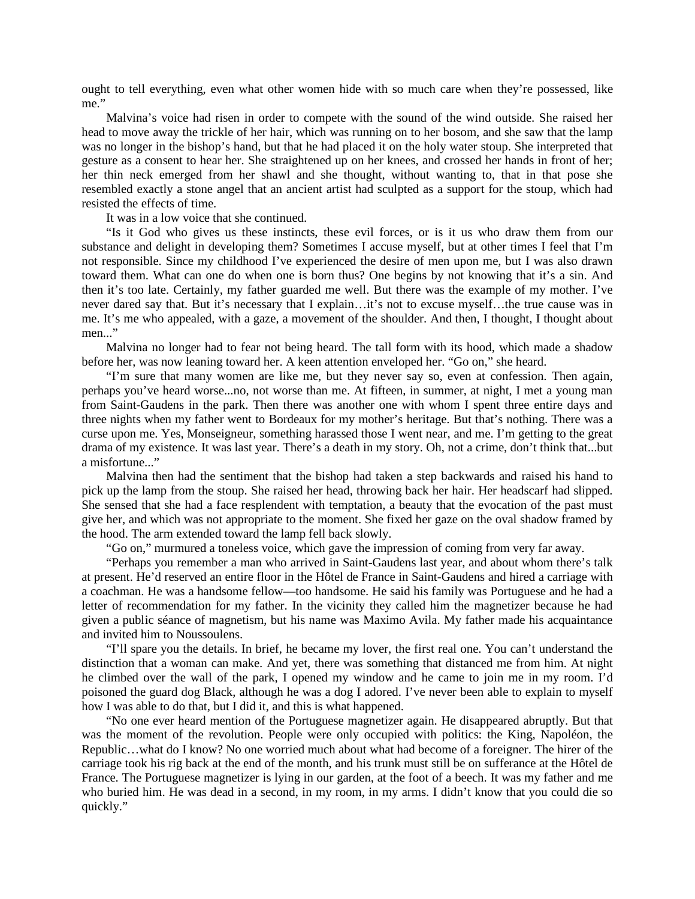ought to tell everything, even what other women hide with so much care when they're possessed, like me."

Malvina's voice had risen in order to compete with the sound of the wind outside. She raised her head to move away the trickle of her hair, which was running on to her bosom, and she saw that the lamp was no longer in the bishop's hand, but that he had placed it on the holy water stoup. She interpreted that gesture as a consent to hear her. She straightened up on her knees, and crossed her hands in front of her; her thin neck emerged from her shawl and she thought, without wanting to, that in that pose she resembled exactly a stone angel that an ancient artist had sculpted as a support for the stoup, which had resisted the effects of time.

It was in a low voice that she continued.

"Is it God who gives us these instincts, these evil forces, or is it us who draw them from our substance and delight in developing them? Sometimes I accuse myself, but at other times I feel that I'm not responsible. Since my childhood I've experienced the desire of men upon me, but I was also drawn toward them. What can one do when one is born thus? One begins by not knowing that it's a sin. And then it's too late. Certainly, my father guarded me well. But there was the example of my mother. I've never dared say that. But it's necessary that I explain…it's not to excuse myself…the true cause was in me. It's me who appealed, with a gaze, a movement of the shoulder. And then, I thought, I thought about men..."

Malvina no longer had to fear not being heard. The tall form with its hood, which made a shadow before her, was now leaning toward her. A keen attention enveloped her. "Go on," she heard.

"I'm sure that many women are like me, but they never say so, even at confession. Then again, perhaps you've heard worse...no, not worse than me. At fifteen, in summer, at night, I met a young man from Saint-Gaudens in the park. Then there was another one with whom I spent three entire days and three nights when my father went to Bordeaux for my mother's heritage. But that's nothing. There was a curse upon me. Yes, Monseigneur, something harassed those I went near, and me. I'm getting to the great drama of my existence. It was last year. There's a death in my story. Oh, not a crime, don't think that...but a misfortune..."

Malvina then had the sentiment that the bishop had taken a step backwards and raised his hand to pick up the lamp from the stoup. She raised her head, throwing back her hair. Her headscarf had slipped. She sensed that she had a face resplendent with temptation, a beauty that the evocation of the past must give her, and which was not appropriate to the moment. She fixed her gaze on the oval shadow framed by the hood. The arm extended toward the lamp fell back slowly.

"Go on," murmured a toneless voice, which gave the impression of coming from very far away.

"Perhaps you remember a man who arrived in Saint-Gaudens last year, and about whom there's talk at present. He'd reserved an entire floor in the Hôtel de France in Saint-Gaudens and hired a carriage with a coachman. He was a handsome fellow—too handsome. He said his family was Portuguese and he had a letter of recommendation for my father. In the vicinity they called him the magnetizer because he had given a public séance of magnetism, but his name was Maximo Avila. My father made his acquaintance and invited him to Noussoulens.

"I'll spare you the details. In brief, he became my lover, the first real one. You can't understand the distinction that a woman can make. And yet, there was something that distanced me from him. At night he climbed over the wall of the park, I opened my window and he came to join me in my room. I'd poisoned the guard dog Black, although he was a dog I adored. I've never been able to explain to myself how I was able to do that, but I did it, and this is what happened.

"No one ever heard mention of the Portuguese magnetizer again. He disappeared abruptly. But that was the moment of the revolution. People were only occupied with politics: the King, Napoléon, the Republic…what do I know? No one worried much about what had become of a foreigner. The hirer of the carriage took his rig back at the end of the month, and his trunk must still be on sufferance at the Hôtel de France. The Portuguese magnetizer is lying in our garden, at the foot of a beech. It was my father and me who buried him. He was dead in a second, in my room, in my arms. I didn't know that you could die so quickly."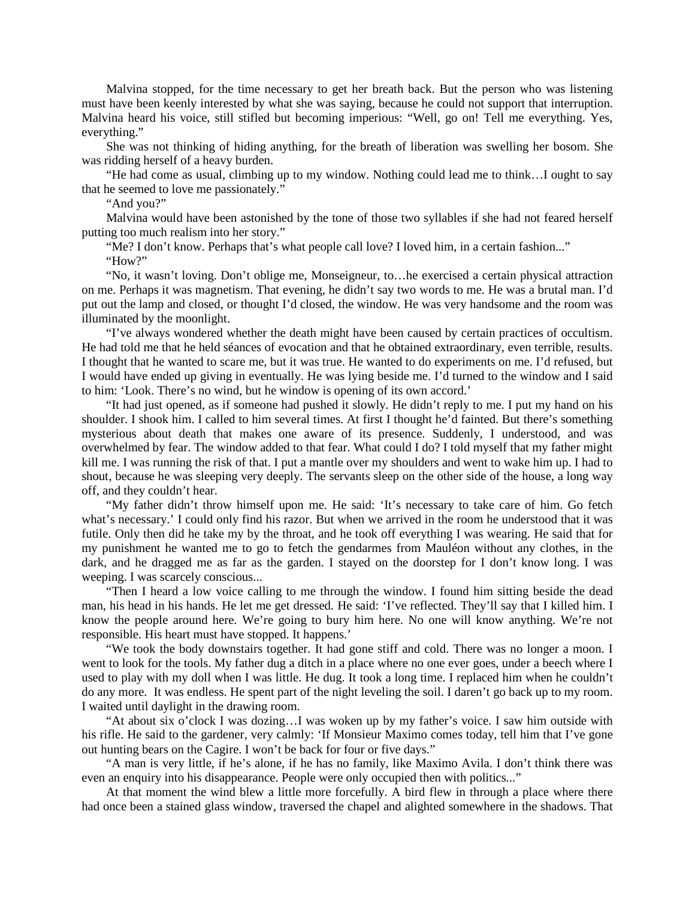Malvina stopped, for the time necessary to get her breath back. But the person who was listening must have been keenly interested by what she was saying, because he could not support that interruption. Malvina heard his voice, still stifled but becoming imperious: "Well, go on! Tell me everything. Yes, everything."

She was not thinking of hiding anything, for the breath of liberation was swelling her bosom. She was ridding herself of a heavy burden.

"He had come as usual, climbing up to my window. Nothing could lead me to think…I ought to say that he seemed to love me passionately."

"And you?"

Malvina would have been astonished by the tone of those two syllables if she had not feared herself putting too much realism into her story."

"Me? I don't know. Perhaps that's what people call love? I loved him, in a certain fashion..."

"How?"

"No, it wasn't loving. Don't oblige me, Monseigneur, to…he exercised a certain physical attraction on me. Perhaps it was magnetism. That evening, he didn't say two words to me. He was a brutal man. I'd put out the lamp and closed, or thought I'd closed, the window. He was very handsome and the room was illuminated by the moonlight.

"I've always wondered whether the death might have been caused by certain practices of occultism. He had told me that he held séances of evocation and that he obtained extraordinary, even terrible, results. I thought that he wanted to scare me, but it was true. He wanted to do experiments on me. I'd refused, but I would have ended up giving in eventually. He was lying beside me. I'd turned to the window and I said to him: 'Look. There's no wind, but he window is opening of its own accord.'

"It had just opened, as if someone had pushed it slowly. He didn't reply to me. I put my hand on his shoulder. I shook him. I called to him several times. At first I thought he'd fainted. But there's something mysterious about death that makes one aware of its presence. Suddenly, I understood, and was overwhelmed by fear. The window added to that fear. What could I do? I told myself that my father might kill me. I was running the risk of that. I put a mantle over my shoulders and went to wake him up. I had to shout, because he was sleeping very deeply. The servants sleep on the other side of the house, a long way off, and they couldn't hear.

"My father didn't throw himself upon me. He said: 'It's necessary to take care of him. Go fetch what's necessary.' I could only find his razor. But when we arrived in the room he understood that it was futile. Only then did he take my by the throat, and he took off everything I was wearing. He said that for my punishment he wanted me to go to fetch the gendarmes from Mauléon without any clothes, in the dark, and he dragged me as far as the garden. I stayed on the doorstep for I don't know long. I was weeping. I was scarcely conscious...

"Then I heard a low voice calling to me through the window. I found him sitting beside the dead man, his head in his hands. He let me get dressed. He said: 'I've reflected. They'll say that I killed him. I know the people around here. We're going to bury him here. No one will know anything. We're not responsible. His heart must have stopped. It happens.'

"We took the body downstairs together. It had gone stiff and cold. There was no longer a moon. I went to look for the tools. My father dug a ditch in a place where no one ever goes, under a beech where I used to play with my doll when I was little. He dug. It took a long time. I replaced him when he couldn't do any more. It was endless. He spent part of the night leveling the soil. I daren't go back up to my room. I waited until daylight in the drawing room.

"At about six o'clock I was dozing…I was woken up by my father's voice. I saw him outside with his rifle. He said to the gardener, very calmly: 'If Monsieur Maximo comes today, tell him that I've gone out hunting bears on the Cagire. I won't be back for four or five days."

"A man is very little, if he's alone, if he has no family, like Maximo Avila. I don't think there was even an enquiry into his disappearance. People were only occupied then with politics..."

At that moment the wind blew a little more forcefully. A bird flew in through a place where there had once been a stained glass window, traversed the chapel and alighted somewhere in the shadows. That